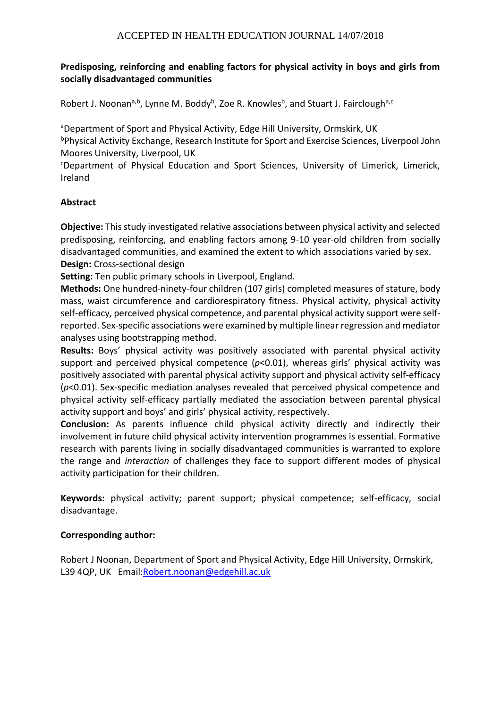# **Predisposing, reinforcing and enabling factors for physical activity in boys and girls from socially disadvantaged communities**

Robert J. Noonan<sup>a,b</sup>, Lynne M. Boddy<sup>b</sup>, Zoe R. Knowles<sup>b</sup>, and Stuart J. Fairclough<sup>a,c</sup>

aDepartment of Sport and Physical Activity, Edge Hill University, Ormskirk, UK

bPhysical Activity Exchange, Research Institute for Sport and Exercise Sciences, Liverpool John Moores University, Liverpool, UK

<sup>c</sup>Department of Physical Education and Sport Sciences, University of Limerick, Limerick, Ireland

### **Abstract**

**Objective:** This study investigated relative associations between physical activity and selected predisposing, reinforcing, and enabling factors among 9-10 year-old children from socially disadvantaged communities, and examined the extent to which associations varied by sex. **Design:** Cross-sectional design

**Setting:** Ten public primary schools in Liverpool, England.

**Methods:** One hundred-ninety-four children (107 girls) completed measures of stature, body mass, waist circumference and cardiorespiratory fitness. Physical activity, physical activity self-efficacy, perceived physical competence, and parental physical activity support were selfreported. Sex-specific associations were examined by multiple linear regression and mediator analyses using bootstrapping method.

**Results:** Boys' physical activity was positively associated with parental physical activity support and perceived physical competence ( $p$ <0.01), whereas girls' physical activity was positively associated with parental physical activity support and physical activity self-efficacy (*p*<0.01). Sex-specific mediation analyses revealed that perceived physical competence and physical activity self-efficacy partially mediated the association between parental physical activity support and boys' and girls' physical activity, respectively.

**Conclusion:** As parents influence child physical activity directly and indirectly their involvement in future child physical activity intervention programmes is essential. Formative research with parents living in socially disadvantaged communities is warranted to explore the range and *interaction* of challenges they face to support different modes of physical activity participation for their children.

**Keywords:** physical activity; parent support; physical competence; self-efficacy, social disadvantage.

#### **Corresponding author:**

Robert J Noonan, Department of Sport and Physical Activity, Edge Hill University, Ormskirk, L39 4QP, UK Email[:Robert.noonan@edgehill.ac.uk](mailto:Robert.noonan@edgehill.ac.uk)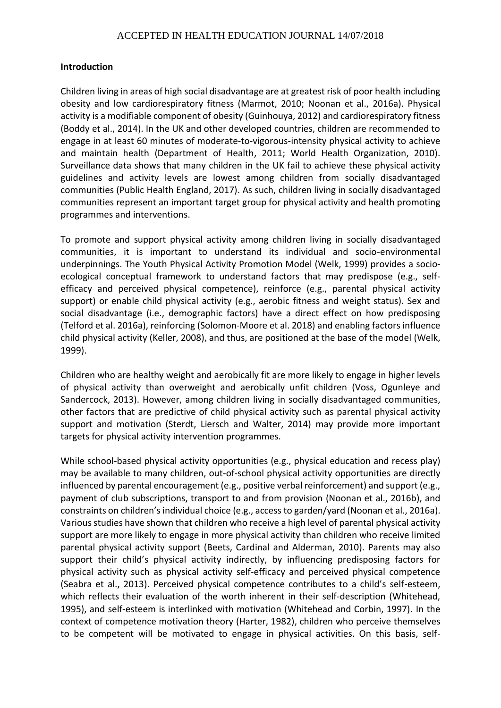#### **Introduction**

Children living in areas of high social disadvantage are at greatest risk of poor health including obesity and low cardiorespiratory fitness (Marmot, 2010; Noonan et al., 2016a). Physical activity is a modifiable component of obesity (Guinhouya, 2012) and cardiorespiratory fitness (Boddy et al., 2014). In the UK and other developed countries, children are recommended to engage in at least 60 minutes of moderate-to-vigorous-intensity physical activity to achieve and maintain health (Department of Health, 2011; World Health Organization, 2010). Surveillance data shows that many children in the UK fail to achieve these physical activity guidelines and activity levels are lowest among children from socially disadvantaged communities (Public Health England, 2017). As such, children living in socially disadvantaged communities represent an important target group for physical activity and health promoting programmes and interventions.

To promote and support physical activity among children living in socially disadvantaged communities, it is important to understand its individual and socio-environmental underpinnings. The Youth Physical Activity Promotion Model (Welk, 1999) provides a socioecological conceptual framework to understand factors that may predispose (e.g., selfefficacy and perceived physical competence), reinforce (e.g., parental physical activity support) or enable child physical activity (e.g., aerobic fitness and weight status). Sex and social disadvantage (i.e., demographic factors) have a direct effect on how predisposing (Telford et al. 2016a), reinforcing (Solomon-Moore et al. 2018) and enabling factors influence child physical activity (Keller, 2008), and thus, are positioned at the base of the model (Welk, 1999).

Children who are healthy weight and aerobically fit are more likely to engage in higher levels of physical activity than overweight and aerobically unfit children (Voss, Ogunleye and Sandercock, 2013). However, among children living in socially disadvantaged communities, other factors that are predictive of child physical activity such as parental physical activity support and motivation (Sterdt, Liersch and Walter, 2014) may provide more important targets for physical activity intervention programmes.

While school-based physical activity opportunities (e.g., physical education and recess play) may be available to many children, out-of-school physical activity opportunities are directly influenced by parental encouragement (e.g., positive verbal reinforcement) and support (e.g., payment of club subscriptions, transport to and from provision (Noonan et al., 2016b), and constraints on children's individual choice (e.g., access to garden/yard (Noonan et al., 2016a). Various studies have shown that children who receive a high level of parental physical activity support are more likely to engage in more physical activity than children who receive limited parental physical activity support (Beets, Cardinal and Alderman, 2010). Parents may also support their child's physical activity indirectly, by influencing predisposing factors for physical activity such as physical activity self-efficacy and perceived physical competence (Seabra et al., 2013). Perceived physical competence contributes to a child's self-esteem, which reflects their evaluation of the worth inherent in their self-description (Whitehead, 1995), and self-esteem is interlinked with motivation (Whitehead and Corbin, 1997). In the context of competence motivation theory (Harter, 1982), children who perceive themselves to be competent will be motivated to engage in physical activities. On this basis, self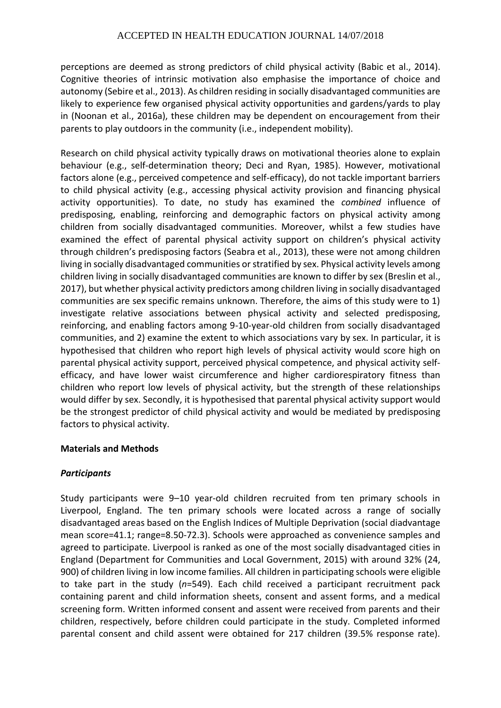perceptions are deemed as strong predictors of child physical activity (Babic et al., 2014). Cognitive theories of intrinsic motivation also emphasise the importance of choice and autonomy (Sebire et al., 2013). As children residing in socially disadvantaged communities are likely to experience few organised physical activity opportunities and gardens/yards to play in (Noonan et al., 2016a), these children may be dependent on encouragement from their parents to play outdoors in the community (i.e., independent mobility).

Research on child physical activity typically draws on motivational theories alone to explain behaviour (e.g., self-determination theory; Deci and Ryan, 1985). However, motivational factors alone (e.g., perceived competence and self-efficacy), do not tackle important barriers to child physical activity (e.g., accessing physical activity provision and financing physical activity opportunities). To date, no study has examined the *combined* influence of predisposing, enabling, reinforcing and demographic factors on physical activity among children from socially disadvantaged communities. Moreover, whilst a few studies have examined the effect of parental physical activity support on children's physical activity through children's predisposing factors (Seabra et al., 2013), these were not among children living in socially disadvantaged communities or stratified by sex. Physical activity levels among children living in socially disadvantaged communities are known to differ by sex (Breslin et al., 2017), but whether physical activity predictors among children living in socially disadvantaged communities are sex specific remains unknown. Therefore, the aims of this study were to 1) investigate relative associations between physical activity and selected predisposing, reinforcing, and enabling factors among 9-10-year-old children from socially disadvantaged communities, and 2) examine the extent to which associations vary by sex. In particular, it is hypothesised that children who report high levels of physical activity would score high on parental physical activity support, perceived physical competence, and physical activity selfefficacy, and have lower waist circumference and higher cardiorespiratory fitness than children who report low levels of physical activity, but the strength of these relationships would differ by sex. Secondly, it is hypothesised that parental physical activity support would be the strongest predictor of child physical activity and would be mediated by predisposing factors to physical activity.

# **Materials and Methods**

# *Participants*

Study participants were 9–10 year-old children recruited from ten primary schools in Liverpool, England. The ten primary schools were located across a range of socially disadvantaged areas based on the English Indices of Multiple Deprivation (social diadvantage mean score=41.1; range=8.50-72.3). Schools were approached as convenience samples and agreed to participate. Liverpool is ranked as one of the most socially disadvantaged cities in England (Department for Communities and Local Government, 2015) with around 32% (24, 900) of children living in low income families. All children in participating schools were eligible to take part in the study (*n*=549). Each child received a participant recruitment pack containing parent and child information sheets, consent and assent forms, and a medical screening form. Written informed consent and assent were received from parents and their children, respectively, before children could participate in the study. Completed informed parental consent and child assent were obtained for 217 children (39.5% response rate).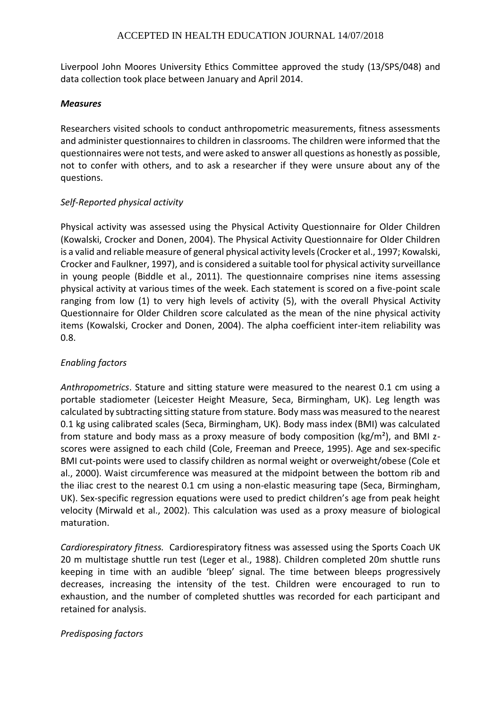Liverpool John Moores University Ethics Committee approved the study (13/SPS/048) and data collection took place between January and April 2014.

### *Measures*

Researchers visited schools to conduct anthropometric measurements, fitness assessments and administer questionnaires to children in classrooms. The children were informed that the questionnaires were not tests, and were asked to answer all questions as honestly as possible, not to confer with others, and to ask a researcher if they were unsure about any of the questions.

# *Self-Reported physical activity*

Physical activity was assessed using the Physical Activity Questionnaire for Older Children (Kowalski, Crocker and Donen, 2004). The Physical Activity Questionnaire for Older Children is a valid and reliable measure of general physical activity levels (Crocker et al., 1997; Kowalski, Crocker and Faulkner, 1997), and is considered a suitable tool for physical activity surveillance in young people (Biddle et al., 2011). The questionnaire comprises nine items assessing physical activity at various times of the week. Each statement is scored on a five-point scale ranging from low (1) to very high levels of activity (5), with the overall Physical Activity Questionnaire for Older Children score calculated as the mean of the nine physical activity items (Kowalski, Crocker and Donen, 2004). The alpha coefficient inter-item reliability was 0.8.

# *Enabling factors*

*Anthropometrics*. Stature and sitting stature were measured to the nearest 0.1 cm using a portable stadiometer (Leicester Height Measure, Seca, Birmingham, UK). Leg length was calculated by subtracting sitting stature from stature. Body mass was measured to the nearest 0.1 kg using calibrated scales (Seca, Birmingham, UK). Body mass index (BMI) was calculated from stature and body mass as a proxy measure of body composition ( $\text{kg/m}^2$ ), and BMI zscores were assigned to each child (Cole, Freeman and Preece, 1995). Age and sex-specific BMI cut-points were used to classify children as normal weight or overweight/obese (Cole et al., 2000). Waist circumference was measured at the midpoint between the bottom rib and the iliac crest to the nearest 0.1 cm using a non-elastic measuring tape (Seca, Birmingham, UK). Sex-specific regression equations were used to predict children's age from peak height velocity (Mirwald et al., 2002). This calculation was used as a proxy measure of biological maturation.

*Cardiorespiratory fitness.* Cardiorespiratory fitness was assessed using the Sports Coach UK 20 m multistage shuttle run test (Leger et al., 1988). Children completed 20m shuttle runs keeping in time with an audible 'bleep' signal. The time between bleeps progressively decreases, increasing the intensity of the test. Children were encouraged to run to exhaustion, and the number of completed shuttles was recorded for each participant and retained for analysis.

# *Predisposing factors*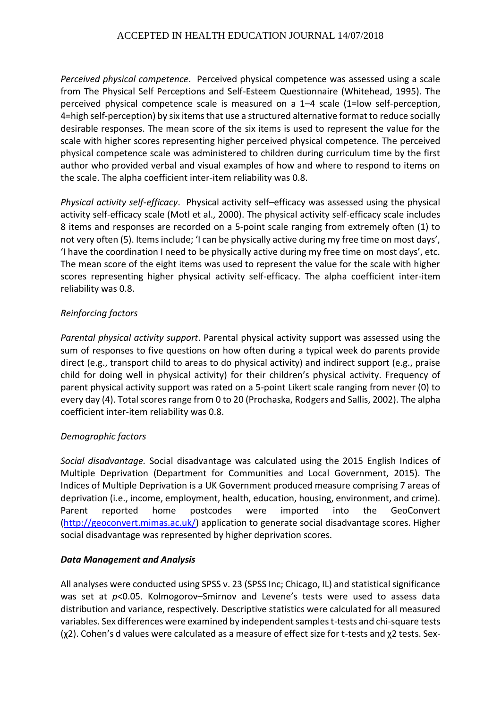*Perceived physical competence*. Perceived physical competence was assessed using a scale from The Physical Self Perceptions and Self-Esteem Questionnaire (Whitehead, 1995). The perceived physical competence scale is measured on a 1–4 scale (1=low self-perception, 4=high self-perception) by six items that use a structured alternative format to reduce socially desirable responses. The mean score of the six items is used to represent the value for the scale with higher scores representing higher perceived physical competence. The perceived physical competence scale was administered to children during curriculum time by the first author who provided verbal and visual examples of how and where to respond to items on the scale. The alpha coefficient inter-item reliability was 0.8.

*Physical activity self-efficacy*. Physical activity self–efficacy was assessed using the physical activity self-efficacy scale (Motl et al., 2000). The physical activity self-efficacy scale includes 8 items and responses are recorded on a 5-point scale ranging from extremely often (1) to not very often (5). Items include; 'I can be physically active during my free time on most days', 'I have the coordination I need to be physically active during my free time on most days', etc. The mean score of the eight items was used to represent the value for the scale with higher scores representing higher physical activity self-efficacy. The alpha coefficient inter-item reliability was 0.8.

# *Reinforcing factors*

*Parental physical activity support*. Parental physical activity support was assessed using the sum of responses to five questions on how often during a typical week do parents provide direct (e.g., transport child to areas to do physical activity) and indirect support (e.g., praise child for doing well in physical activity) for their children's physical activity. Frequency of parent physical activity support was rated on a 5-point Likert scale ranging from never (0) to every day (4). Total scores range from 0 to 20 (Prochaska, Rodgers and Sallis, 2002). The alpha coefficient inter-item reliability was 0.8.

# *Demographic factors*

*Social disadvantage.* Social disadvantage was calculated using the 2015 English Indices of Multiple Deprivation (Department for Communities and Local Government, 2015). The Indices of Multiple Deprivation is a UK Government produced measure comprising 7 areas of deprivation (i.e., income, employment, health, education, housing, environment, and crime). Parent reported home postcodes were imported into the GeoConvert [\(http://geoconvert.mimas.ac.uk/\)](http://geoconvert.mimas.ac.uk/) application to generate social disadvantage scores. Higher social disadvantage was represented by higher deprivation scores.

#### *Data Management and Analysis*

All analyses were conducted using SPSS v. 23 (SPSS Inc; Chicago, IL) and statistical significance was set at  $p$ <0.05. Kolmogorov–Smirnov and Levene's tests were used to assess data distribution and variance, respectively. Descriptive statistics were calculated for all measured variables. Sex differences were examined by independent samples t-tests and chi-square tests (χ2). Cohen's d values were calculated as a measure of effect size for t-tests and χ2 tests. Sex-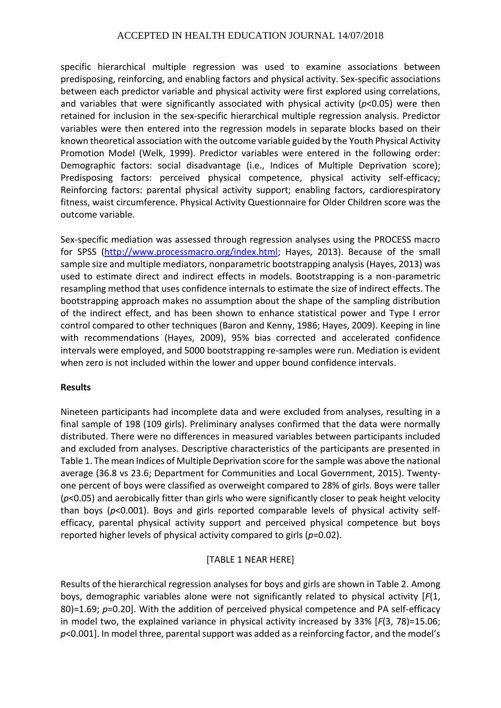specific hierarchical multiple regression was used to examine associations between predisposing, reinforcing, and enabling factors and physical activity. Sex-specific associations between each predictor variable and physical activity were first explored using correlations, and variables that were significantly associated with physical activity (*p*<0.05) were then retained for inclusion in the sex-specific hierarchical multiple regression analysis. Predictor variables were then entered into the regression models in separate blocks based on their known theoretical association with the outcome variable guided by the Youth Physical Activity Promotion Model (Welk, 1999). Predictor variables were entered in the following order: Demographic factors: social disadvantage (i.e., Indices of Multiple Deprivation score); Predisposing factors: perceived physical competence, physical activity self-efficacy; Reinforcing factors: parental physical activity support; enabling factors, cardiorespiratory fitness, waist circumference. Physical Activity Questionnaire for Older Children score was the outcome variable.

Sex-specific mediation was assessed through regression analyses using the PROCESS macro for SPSS [\(http://www.processmacro.org/index.html;](http://www.processmacro.org/index.html) Hayes, 2013). Because of the small sample size and multiple mediators, nonparametric bootstrapping analysis (Hayes, 2013) was used to estimate direct and indirect effects in models. Bootstrapping is a non-parametric resampling method that uses confidence internals to estimate the size of indirect effects. The bootstrapping approach makes no assumption about the shape of the sampling distribution of the indirect effect, and has been shown to enhance statistical power and Type I error control compared to other techniques (Baron and Kenny, 1986; Hayes, 2009). Keeping in line with recommendations (Hayes, 2009), 95% bias corrected and accelerated confidence intervals were employed, and 5000 bootstrapping re-samples were run. Mediation is evident when zero is not included within the lower and upper bound confidence intervals.

#### **Results**

Nineteen participants had incomplete data and were excluded from analyses, resulting in a final sample of 198 (109 girls). Preliminary analyses confirmed that the data were normally distributed. There were no differences in measured variables between participants included and excluded from analyses. Descriptive characteristics of the participants are presented in Table 1. The mean Indices of Multiple Deprivation score for the sample was above the national average (36.8 vs 23.6; Department for Communities and Local Government, 2015). Twentyone percent of boys were classified as overweight compared to 28% of girls. Boys were taller (*p*<0.05) and aerobically fitter than girls who were significantly closer to peak height velocity than boys (*p*<0.001). Boys and girls reported comparable levels of physical activity selfefficacy, parental physical activity support and perceived physical competence but boys reported higher levels of physical activity compared to girls (*p*=0.02).

# [TABLE 1 NEAR HERE]

Results of the hierarchical regression analyses for boys and girls are shown in Table 2. Among boys, demographic variables alone were not significantly related to physical activity [*F*(1, 80)=1.69; *p*=0.20]. With the addition of perceived physical competence and PA self-efficacy in model two, the explained variance in physical activity increased by 33% [*F*(3, 78)=15.06; *p*<0.001]. In model three, parental support was added as a reinforcing factor, and the model's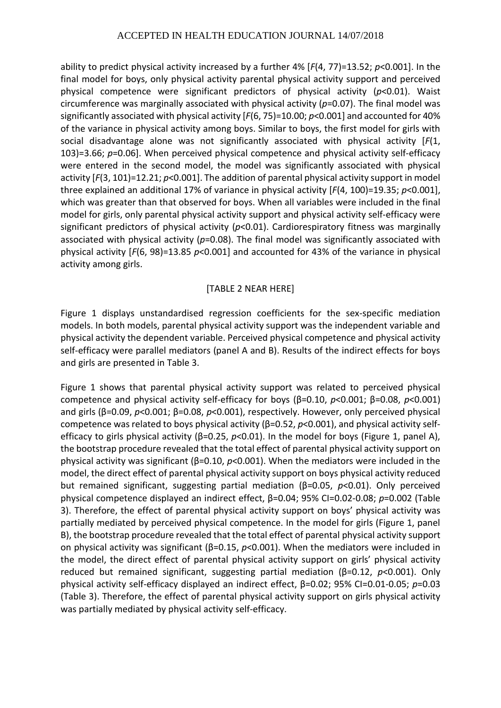ability to predict physical activity increased by a further 4% [*F*(4, 77)=13.52; *p*<0.001]. In the final model for boys, only physical activity parental physical activity support and perceived physical competence were significant predictors of physical activity (*p*<0.01). Waist circumference was marginally associated with physical activity (*p*=0.07). The final model was significantly associated with physical activity [*F*(6, 75)=10.00; *p*<0.001] and accounted for 40% of the variance in physical activity among boys. Similar to boys, the first model for girls with social disadvantage alone was not significantly associated with physical activity [*F*(1, 103)=3.66; *p*=0.06]. When perceived physical competence and physical activity self-efficacy were entered in the second model, the model was significantly associated with physical activity [*F*(3, 101)=12.21; *p*<0.001]. The addition of parental physical activity support in model three explained an additional 17% of variance in physical activity [*F*(4, 100)=19.35; *p*<0.001], which was greater than that observed for boys. When all variables were included in the final model for girls, only parental physical activity support and physical activity self-efficacy were significant predictors of physical activity (*p*<0.01). Cardiorespiratory fitness was marginally associated with physical activity (*p*=0.08). The final model was significantly associated with physical activity [*F*(6, 98)=13.85 *p*<0.001] and accounted for 43% of the variance in physical activity among girls.

### [TABLE 2 NEAR HERE]

Figure 1 displays unstandardised regression coefficients for the sex-specific mediation models. In both models, parental physical activity support was the independent variable and physical activity the dependent variable. Perceived physical competence and physical activity self-efficacy were parallel mediators (panel A and B). Results of the indirect effects for boys and girls are presented in Table 3.

Figure 1 shows that parental physical activity support was related to perceived physical competence and physical activity self-efficacy for boys (β=0.10, *p*<0.001; β=0.08, *p*<0.001) and girls (β=0.09, *p*<0.001; β=0.08, *p*<0.001), respectively. However, only perceived physical competence was related to boys physical activity (β=0.52, *p*<0.001), and physical activity selfefficacy to girls physical activity (β=0.25, *p*<0.01). In the model for boys (Figure 1, panel A), the bootstrap procedure revealed that the total effect of parental physical activity support on physical activity was significant (β=0.10, *p*<0.001). When the mediators were included in the model, the direct effect of parental physical activity support on boys physical activity reduced but remained significant, suggesting partial mediation (β=0.05, *p*<0.01). Only perceived physical competence displayed an indirect effect, β=0.04; 95% CI=0.02-0.08; *p*=0.002 (Table 3). Therefore, the effect of parental physical activity support on boys' physical activity was partially mediated by perceived physical competence. In the model for girls (Figure 1, panel B), the bootstrap procedure revealed that the total effect of parental physical activity support on physical activity was significant (β=0.15, *p*<0.001). When the mediators were included in the model, the direct effect of parental physical activity support on girls' physical activity reduced but remained significant, suggesting partial mediation (β=0.12, *p*<0.001). Only physical activity self-efficacy displayed an indirect effect, β=0.02; 95% CI=0.01-0.05; *p*=0.03 (Table 3). Therefore, the effect of parental physical activity support on girls physical activity was partially mediated by physical activity self-efficacy.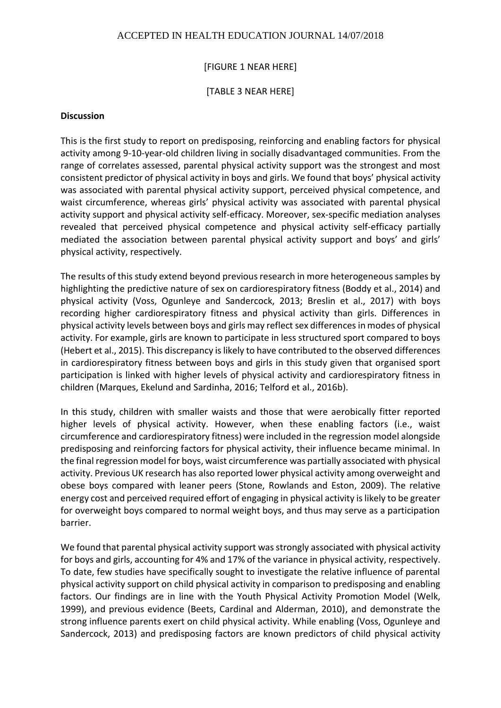### [FIGURE 1 NEAR HERE]

#### [TABLE 3 NEAR HERE]

#### **Discussion**

This is the first study to report on predisposing, reinforcing and enabling factors for physical activity among 9-10-year-old children living in socially disadvantaged communities. From the range of correlates assessed, parental physical activity support was the strongest and most consistent predictor of physical activity in boys and girls. We found that boys' physical activity was associated with parental physical activity support, perceived physical competence, and waist circumference, whereas girls' physical activity was associated with parental physical activity support and physical activity self-efficacy. Moreover, sex-specific mediation analyses revealed that perceived physical competence and physical activity self-efficacy partially mediated the association between parental physical activity support and boys' and girls' physical activity, respectively.

The results of this study extend beyond previous research in more heterogeneous samples by highlighting the predictive nature of sex on cardiorespiratory fitness (Boddy et al., 2014) and physical activity (Voss, Ogunleye and Sandercock, 2013; Breslin et al., 2017) with boys recording higher cardiorespiratory fitness and physical activity than girls. Differences in physical activity levels between boys and girls may reflect sex differences in modes of physical activity. For example, girls are known to participate in less structured sport compared to boys (Hebert et al., 2015). This discrepancy is likely to have contributed to the observed differences in cardiorespiratory fitness between boys and girls in this study given that organised sport participation is linked with higher levels of physical activity and cardiorespiratory fitness in children (Marques, Ekelund and Sardinha, 2016; Telford et al., 2016b).

In this study, children with smaller waists and those that were aerobically fitter reported higher levels of physical activity. However, when these enabling factors (i.e., waist circumference and cardiorespiratory fitness) were included in the regression model alongside predisposing and reinforcing factors for physical activity, their influence became minimal. In the final regression model for boys, waist circumference was partially associated with physical activity. Previous UK research has also reported lower physical activity among overweight and obese boys compared with leaner peers (Stone, Rowlands and Eston, 2009). The relative energy cost and perceived required effort of engaging in physical activity is likely to be greater for overweight boys compared to normal weight boys, and thus may serve as a participation barrier.

We found that parental physical activity support was strongly associated with physical activity for boys and girls, accounting for 4% and 17% of the variance in physical activity, respectively. To date, few studies have specifically sought to investigate the relative influence of parental physical activity support on child physical activity in comparison to predisposing and enabling factors. Our findings are in line with the Youth Physical Activity Promotion Model (Welk, 1999), and previous evidence (Beets, Cardinal and Alderman, 2010), and demonstrate the strong influence parents exert on child physical activity. While enabling (Voss, Ogunleye and Sandercock, 2013) and predisposing factors are known predictors of child physical activity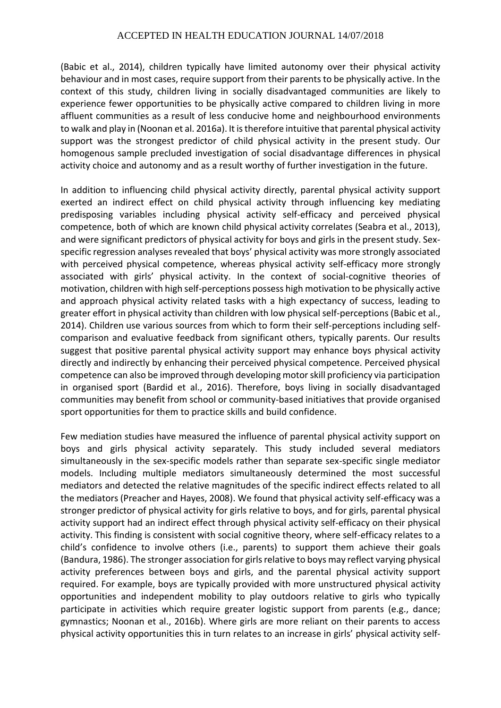(Babic et al., 2014), children typically have limited autonomy over their physical activity behaviour and in most cases, require support from their parents to be physically active. In the context of this study, children living in socially disadvantaged communities are likely to experience fewer opportunities to be physically active compared to children living in more affluent communities as a result of less conducive home and neighbourhood environments to walk and play in (Noonan et al. 2016a). It is therefore intuitive that parental physical activity support was the strongest predictor of child physical activity in the present study. Our homogenous sample precluded investigation of social disadvantage differences in physical activity choice and autonomy and as a result worthy of further investigation in the future.

In addition to influencing child physical activity directly, parental physical activity support exerted an indirect effect on child physical activity through influencing key mediating predisposing variables including physical activity self-efficacy and perceived physical competence, both of which are known child physical activity correlates (Seabra et al., 2013), and were significant predictors of physical activity for boys and girls in the present study. Sexspecific regression analyses revealed that boys' physical activity was more strongly associated with perceived physical competence, whereas physical activity self-efficacy more strongly associated with girls' physical activity. In the context of social-cognitive theories of motivation, children with high self-perceptions possess high motivation to be physically active and approach physical activity related tasks with a high expectancy of success, leading to greater effort in physical activity than children with low physical self-perceptions (Babic et al., 2014). Children use various sources from which to form their self-perceptions including selfcomparison and evaluative feedback from significant others, typically parents. Our results suggest that positive parental physical activity support may enhance boys physical activity directly and indirectly by enhancing their perceived physical competence. Perceived physical competence can also be improved through developing motor skill proficiency via participation in organised sport (Bardid et al., 2016). Therefore, boys living in socially disadvantaged communities may benefit from school or community-based initiatives that provide organised sport opportunities for them to practice skills and build confidence.

Few mediation studies have measured the influence of parental physical activity support on boys and girls physical activity separately. This study included several mediators simultaneously in the sex-specific models rather than separate sex-specific single mediator models. Including multiple mediators simultaneously determined the most successful mediators and detected the relative magnitudes of the specific indirect effects related to all the mediators (Preacher and Hayes, 2008). We found that physical activity self-efficacy was a stronger predictor of physical activity for girls relative to boys, and for girls, parental physical activity support had an indirect effect through physical activity self-efficacy on their physical activity. This finding is consistent with social cognitive theory, where self-efficacy relates to a child's confidence to involve others (i.e., parents) to support them achieve their goals (Bandura, 1986). The stronger association for girls relative to boys may reflect varying physical activity preferences between boys and girls, and the parental physical activity support required. For example, boys are typically provided with more unstructured physical activity opportunities and independent mobility to play outdoors relative to girls who typically participate in activities which require greater logistic support from parents (e.g., dance; gymnastics; Noonan et al., 2016b). Where girls are more reliant on their parents to access physical activity opportunities this in turn relates to an increase in girls' physical activity self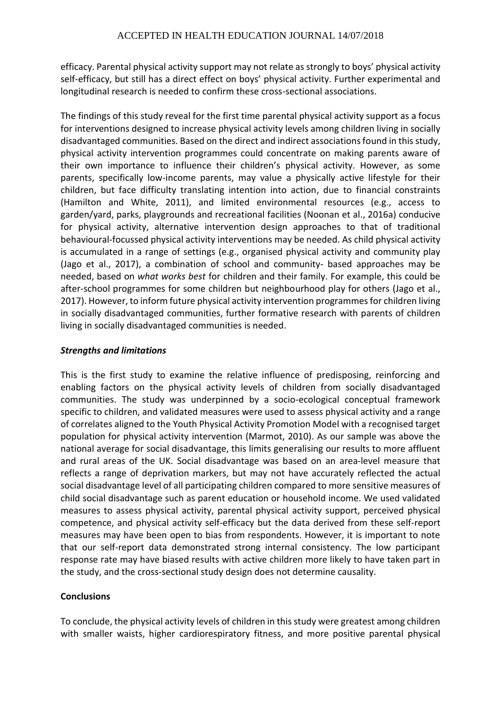efficacy. Parental physical activity support may not relate as strongly to boys' physical activity self-efficacy, but still has a direct effect on boys' physical activity. Further experimental and longitudinal research is needed to confirm these cross-sectional associations.

The findings of this study reveal for the first time parental physical activity support as a focus for interventions designed to increase physical activity levels among children living in socially disadvantaged communities. Based on the direct and indirect associations found in this study, physical activity intervention programmes could concentrate on making parents aware of their own importance to influence their children's physical activity. However, as some parents, specifically low-income parents, may value a physically active lifestyle for their children, but face difficulty translating intention into action, due to financial constraints (Hamilton and White, 2011), and limited environmental resources (e.g., access to garden/yard, parks, playgrounds and recreational facilities (Noonan et al., 2016a) conducive for physical activity, alternative intervention design approaches to that of traditional behavioural-focussed physical activity interventions may be needed. As child physical activity is accumulated in a range of settings (e.g., organised physical activity and community play (Jago et al., 2017), a combination of school and community- based approaches may be needed, based on *what works best* for children and their family. For example, this could be after-school programmes for some children but neighbourhood play for others (Jago et al., 2017). However, to inform future physical activity intervention programmes for children living in socially disadvantaged communities, further formative research with parents of children living in socially disadvantaged communities is needed.

# *Strengths and limitations*

This is the first study to examine the relative influence of predisposing, reinforcing and enabling factors on the physical activity levels of children from socially disadvantaged communities. The study was underpinned by a socio-ecological conceptual framework specific to children, and validated measures were used to assess physical activity and a range of correlates aligned to the Youth Physical Activity Promotion Model with a recognised target population for physical activity intervention (Marmot, 2010). As our sample was above the national average for social disadvantage, this limits generalising our results to more affluent and rural areas of the UK. Social disadvantage was based on an area-level measure that reflects a range of deprivation markers, but may not have accurately reflected the actual social disadvantage level of all participating children compared to more sensitive measures of child social disadvantage such as parent education or household income. We used validated measures to assess physical activity, parental physical activity support, perceived physical competence, and physical activity self-efficacy but the data derived from these self-report measures may have been open to bias from respondents. However, it is important to note that our self-report data demonstrated strong internal consistency. The low participant response rate may have biased results with active children more likely to have taken part in the study, and the cross-sectional study design does not determine causality.

# **Conclusions**

To conclude, the physical activity levels of children in this study were greatest among children with smaller waists, higher cardiorespiratory fitness, and more positive parental physical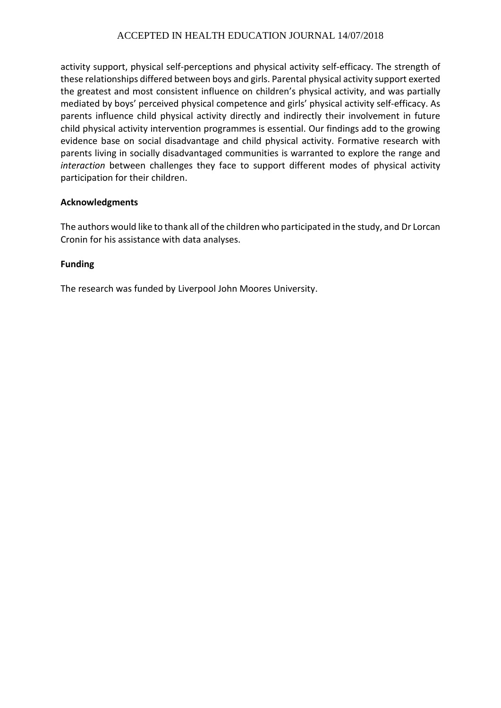activity support, physical self-perceptions and physical activity self-efficacy. The strength of these relationships differed between boys and girls. Parental physical activity support exerted the greatest and most consistent influence on children's physical activity, and was partially mediated by boys' perceived physical competence and girls' physical activity self-efficacy. As parents influence child physical activity directly and indirectly their involvement in future child physical activity intervention programmes is essential. Our findings add to the growing evidence base on social disadvantage and child physical activity. Formative research with parents living in socially disadvantaged communities is warranted to explore the range and *interaction* between challenges they face to support different modes of physical activity participation for their children.

# **Acknowledgments**

The authors would like to thank all of the children who participated in the study, and Dr Lorcan Cronin for his assistance with data analyses.

### **Funding**

The research was funded by Liverpool John Moores University.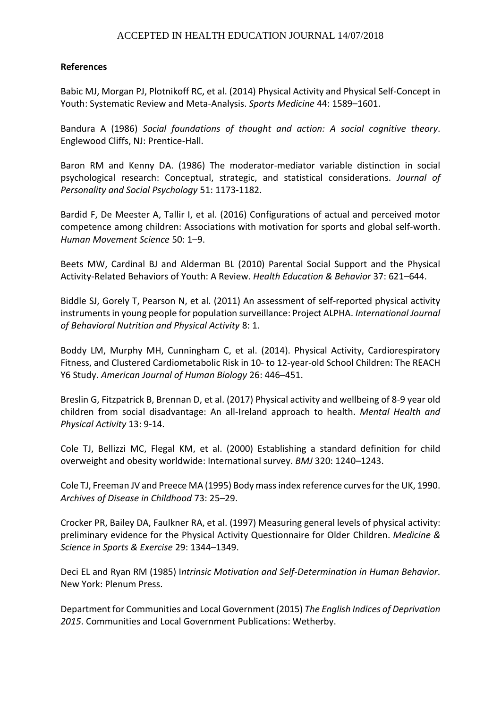### **References**

Babic MJ, Morgan PJ, Plotnikoff RC, et al. (2014) Physical Activity and Physical Self-Concept in Youth: Systematic Review and Meta-Analysis. *Sports Medicine* 44: 1589–1601.

Bandura A (1986) *Social foundations of thought and action: A social cognitive theory*. Englewood Cliffs, NJ: Prentice-Hall.

Baron RM and Kenny DA. (1986) The moderator-mediator variable distinction in social psychological research: Conceptual, strategic, and statistical considerations. *Journal of Personality and Social Psychology* 51: 1173-1182.

Bardid F, De Meester A, Tallir I, et al. (2016) Configurations of actual and perceived motor competence among children: Associations with motivation for sports and global self-worth. *Human Movement Science* 50: 1–9.

Beets MW, Cardinal BJ and Alderman BL (2010) Parental Social Support and the Physical Activity-Related Behaviors of Youth: A Review. *Health Education & Behavior* 37: 621–644.

Biddle SJ, Gorely T, Pearson N, et al. (2011) An assessment of self-reported physical activity instruments in young people for population surveillance: Project ALPHA. *International Journal of Behavioral Nutrition and Physical Activity* 8: 1.

Boddy LM, Murphy MH, Cunningham C, et al. (2014). Physical Activity, Cardiorespiratory Fitness, and Clustered Cardiometabolic Risk in 10- to 12-year-old School Children: The REACH Y6 Study. *American Journal of Human Biology* 26: 446–451.

Breslin G, Fitzpatrick B, Brennan D, et al. (2017) Physical activity and wellbeing of 8-9 year old children from social disadvantage: An all-Ireland approach to health. *Mental Health and Physical Activity* 13: 9-14.

Cole TJ, Bellizzi MC, Flegal KM, et al. (2000) Establishing a standard definition for child overweight and obesity worldwide: International survey. *BMJ* 320: 1240–1243.

Cole TJ, Freeman JV and Preece MA (1995) Body mass index reference curves for the UK, 1990. *Archives of Disease in Childhood* 73: 25–29.

Crocker PR, Bailey DA, Faulkner RA, et al. (1997) Measuring general levels of physical activity: preliminary evidence for the Physical Activity Questionnaire for Older Children. *Medicine & Science in Sports & Exercise* 29: 1344–1349.

Deci EL and Ryan RM (1985) I*ntrinsic Motivation and Self-Determination in Human Behavior*. New York: Plenum Press.

Department for Communities and Local Government (2015) *The English Indices of Deprivation 2015*. Communities and Local Government Publications: Wetherby.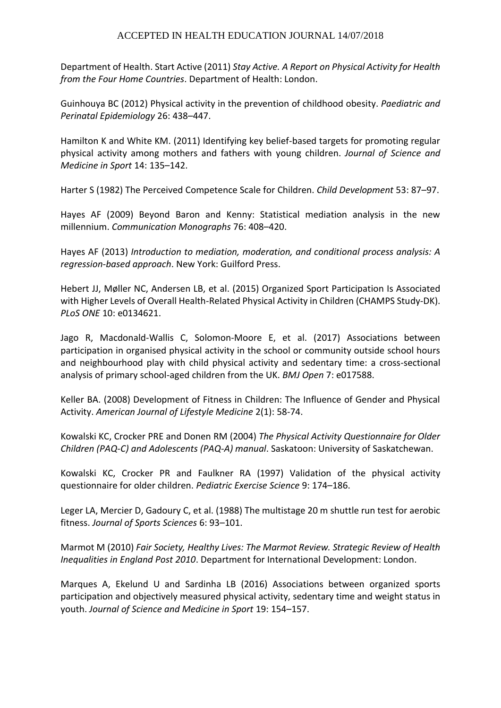Department of Health. Start Active (2011) *Stay Active. A Report on Physical Activity for Health from the Four Home Countries*. Department of Health: London.

Guinhouya BC (2012) Physical activity in the prevention of childhood obesity. *Paediatric and Perinatal Epidemiology* 26: 438–447.

Hamilton K and White KM. (2011) Identifying key belief-based targets for promoting regular physical activity among mothers and fathers with young children. *Journal of Science and Medicine in Sport* 14: 135–142.

Harter S (1982) The Perceived Competence Scale for Children. *Child Development* 53: 87–97.

Hayes AF (2009) Beyond Baron and Kenny: Statistical mediation analysis in the new millennium. *Communication Monographs* 76: 408–420.

Hayes AF (2013) *Introduction to mediation, moderation, and conditional process analysis: A regression-based approach*. New York: Guilford Press.

Hebert JJ, Møller NC, Andersen LB, et al. (2015) Organized Sport Participation Is Associated with Higher Levels of Overall Health-Related Physical Activity in Children (CHAMPS Study-DK). *PLoS ONE* 10: e0134621.

Jago R, Macdonald-Wallis C, Solomon-Moore E, et al. (2017) Associations between participation in organised physical activity in the school or community outside school hours and neighbourhood play with child physical activity and sedentary time: a cross-sectional analysis of primary school-aged children from the UK. *BMJ Open* 7: e017588.

Keller BA. (2008) Development of Fitness in Children: The Influence of Gender and Physical Activity. *American Journal of Lifestyle Medicine* 2(1): 58-74.

Kowalski KC, Crocker PRE and Donen RM (2004) *The Physical Activity Questionnaire for Older Children (PAQ-C) and Adolescents (PAQ-A) manual*. Saskatoon: University of Saskatchewan.

Kowalski KC, Crocker PR and Faulkner RA (1997) Validation of the physical activity questionnaire for older children. *Pediatric Exercise Science* 9: 174–186.

Leger LA, Mercier D, Gadoury C, et al. (1988) The multistage 20 m shuttle run test for aerobic fitness. *Journal of Sports Sciences* 6: 93–101.

Marmot M (2010) *Fair Society, Healthy Lives: The Marmot Review. Strategic Review of Health Inequalities in England Post 2010*. Department for International Development: London.

Marques A, Ekelund U and Sardinha LB (2016) Associations between organized sports participation and objectively measured physical activity, sedentary time and weight status in youth. *Journal of Science and Medicine in Sport* 19: 154–157.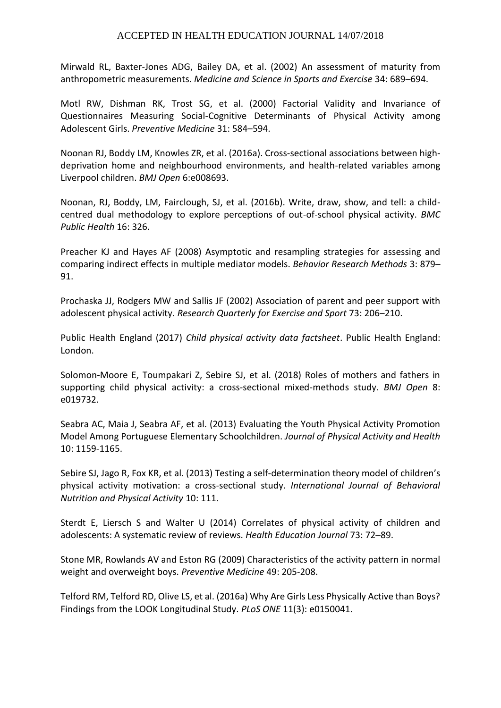Mirwald RL, Baxter-Jones ADG, Bailey DA, et al. (2002) An assessment of maturity from anthropometric measurements. *Medicine and Science in Sports and Exercise* 34: 689–694.

Motl RW, Dishman RK, Trost SG, et al. (2000) Factorial Validity and Invariance of Questionnaires Measuring Social-Cognitive Determinants of Physical Activity among Adolescent Girls. *Preventive Medicine* 31: 584–594.

Noonan RJ, Boddy LM, Knowles ZR, et al. (2016a). Cross-sectional associations between highdeprivation home and neighbourhood environments, and health-related variables among Liverpool children. *BMJ Open* 6:e008693.

Noonan, RJ, Boddy, LM, Fairclough, SJ, et al. (2016b). Write, draw, show, and tell: a childcentred dual methodology to explore perceptions of out-of-school physical activity. *BMC Public Health* 16: 326.

Preacher KJ and Hayes AF (2008) Asymptotic and resampling strategies for assessing and comparing indirect effects in multiple mediator models. *Behavior Research Methods* 3: 879– 91.

Prochaska JJ, Rodgers MW and Sallis JF (2002) Association of parent and peer support with adolescent physical activity. *Research Quarterly for Exercise and Sport* 73: 206–210.

Public Health England (2017) *Child physical activity data factsheet*. Public Health England: London.

Solomon-Moore E, Toumpakari Z, Sebire SJ, et al. (2018) Roles of mothers and fathers in supporting child physical activity: a cross-sectional mixed-methods study. *BMJ Open* 8: e019732.

Seabra AC, Maia J, Seabra AF, et al. (2013) Evaluating the Youth Physical Activity Promotion Model Among Portuguese Elementary Schoolchildren. *Journal of Physical Activity and Health* 10: 1159-1165.

Sebire SJ, Jago R, Fox KR, et al. (2013) Testing a self-determination theory model of children's physical activity motivation: a cross-sectional study. *International Journal of Behavioral Nutrition and Physical Activity* 10: 111.

Sterdt E, Liersch S and Walter U (2014) Correlates of physical activity of children and adolescents: A systematic review of reviews. *Health Education Journal* 73: 72–89.

Stone MR, Rowlands AV and Eston RG (2009) Characteristics of the activity pattern in normal weight and overweight boys. *Preventive Medicine* 49: 205-208.

Telford RM, Telford RD, Olive LS, et al. (2016a) Why Are Girls Less Physically Active than Boys? Findings from the LOOK Longitudinal Study. *PLoS ONE* 11(3): e0150041.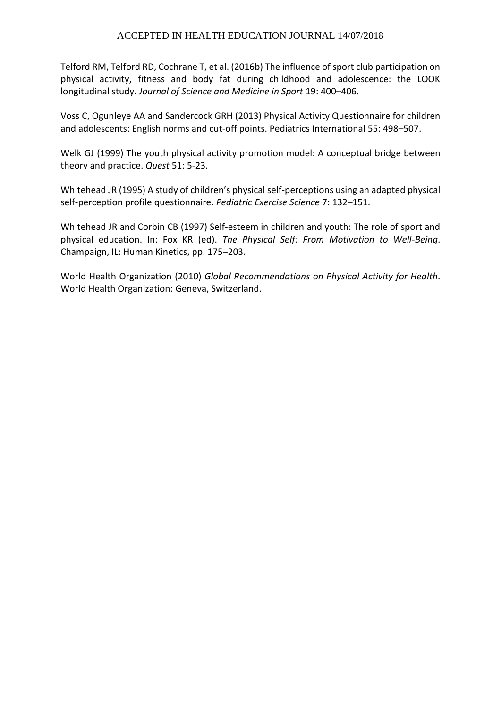Telford RM, Telford RD, Cochrane T, et al. (2016b) The influence of sport club participation on physical activity, fitness and body fat during childhood and adolescence: the LOOK longitudinal study. *Journal of Science and Medicine in Sport* 19: 400–406.

Voss C, Ogunleye AA and Sandercock GRH (2013) Physical Activity Questionnaire for children and adolescents: English norms and cut-off points. Pediatrics International 55: 498–507.

Welk GJ (1999) The youth physical activity promotion model: A conceptual bridge between theory and practice. *Quest* 51: 5-23.

Whitehead JR (1995) A study of children's physical self-perceptions using an adapted physical self-perception profile questionnaire. *Pediatric Exercise Science* 7: 132–151.

Whitehead JR and Corbin CB (1997) Self-esteem in children and youth: The role of sport and physical education. In: Fox KR (ed). *The Physical Self: From Motivation to Well-Being*. Champaign, IL: Human Kinetics, pp. 175–203.

World Health Organization (2010) *Global Recommendations on Physical Activity for Health*. World Health Organization: Geneva, Switzerland.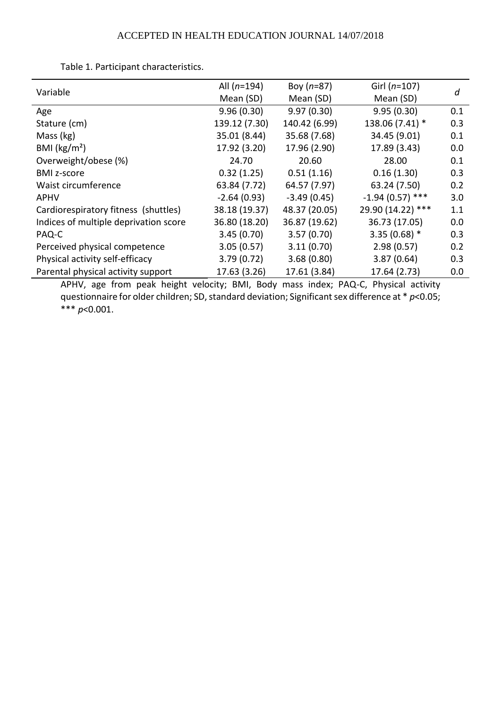| Variable                              | All $(n=194)$ | Boy $(n=87)$  | Girl $(n=107)$    | d   |  |
|---------------------------------------|---------------|---------------|-------------------|-----|--|
|                                       | Mean (SD)     | Mean (SD)     | Mean (SD)         |     |  |
| Age                                   | 9.96(0.30)    | 9.97(0.30)    | 9.95(0.30)        | 0.1 |  |
| Stature (cm)                          | 139.12 (7.30) | 140.42 (6.99) | 138.06 (7.41) *   | 0.3 |  |
| Mass (kg)                             | 35.01 (8.44)  | 35.68 (7.68)  | 34.45 (9.01)      | 0.1 |  |
| BMI ( $\text{kg/m}^2$ )               | 17.92 (3.20)  | 17.96 (2.90)  | 17.89 (3.43)      | 0.0 |  |
| Overweight/obese (%)                  | 24.70         | 20.60         | 28.00             | 0.1 |  |
| <b>BMI z-score</b>                    | 0.32(1.25)    | 0.51(1.16)    | 0.16(1.30)        | 0.3 |  |
| Waist circumference                   | 63.84 (7.72)  | 64.57 (7.97)  | 63.24 (7.50)      | 0.2 |  |
| <b>APHV</b>                           | $-2.64(0.93)$ | $-3.49(0.45)$ | $-1.94(0.57)$ *** | 3.0 |  |
| Cardiorespiratory fitness (shuttles)  | 38.18 (19.37) | 48.37 (20.05) | 29.90 (14.22) *** | 1.1 |  |
| Indices of multiple deprivation score | 36.80 (18.20) | 36.87 (19.62) | 36.73 (17.05)     | 0.0 |  |
| PAQ-C                                 | 3.45(0.70)    | 3.57(0.70)    | $3.35(0.68)$ *    | 0.3 |  |
| Perceived physical competence         | 3.05(0.57)    | 3.11(0.70)    | 2.98(0.57)        | 0.2 |  |
| Physical activity self-efficacy       | 3.79(0.72)    | 3.68(0.80)    | 3.87(0.64)        | 0.3 |  |
| Parental physical activity support    | 17.63 (3.26)  | 17.61 (3.84)  | 17.64 (2.73)      | 0.0 |  |
|                                       |               |               |                   |     |  |

Table 1. Participant characteristics.

APHV, age from peak height velocity; BMI, Body mass index; PAQ-C, Physical activity questionnaire for older children; SD, standard deviation; Significant sex difference at \* *p*<0.05; \*\*\* *p*<0.001.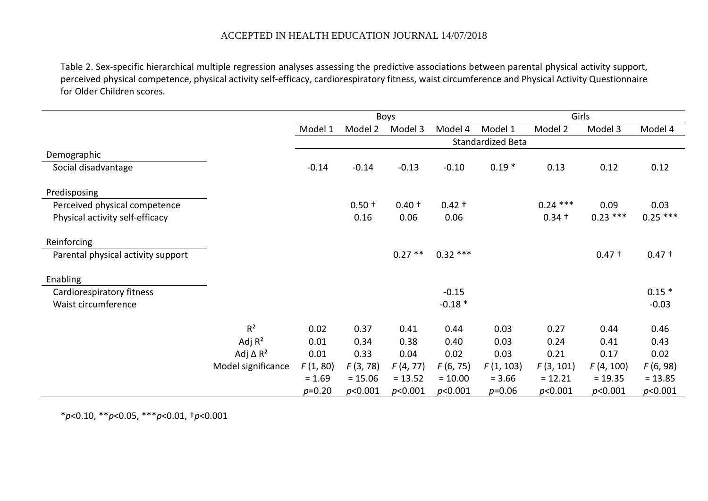Table 2. Sex-specific hierarchical multiple regression analyses assessing the predictive associations between parental physical activity support, perceived physical competence, physical activity self-efficacy, cardiorespiratory fitness, waist circumference and Physical Activity Questionnaire for Older Children scores.

|                                    |                             | Boys              |           |           | Girls     |           |            |           |           |
|------------------------------------|-----------------------------|-------------------|-----------|-----------|-----------|-----------|------------|-----------|-----------|
|                                    |                             | Model 1           | Model 2   | Model 3   | Model 4   | Model 1   | Model 2    | Model 3   | Model 4   |
|                                    |                             | Standardized Beta |           |           |           |           |            |           |           |
| Demographic                        |                             |                   |           |           |           |           |            |           |           |
| Social disadvantage                |                             | $-0.14$           | $-0.14$   | $-0.13$   | $-0.10$   | $0.19*$   | 0.13       | 0.12      | 0.12      |
| Predisposing                       |                             |                   |           |           |           |           |            |           |           |
| Perceived physical competence      |                             |                   | $0.50 +$  | $0.40 +$  | $0.42 +$  |           | $0.24$ *** | 0.09      | 0.03      |
| Physical activity self-efficacy    |                             |                   | 0.16      | 0.06      | 0.06      |           | $0.34 +$   | $0.23***$ | $0.25***$ |
| Reinforcing                        |                             |                   |           |           |           |           |            |           |           |
| Parental physical activity support |                             |                   |           | $0.27**$  | $0.32***$ |           |            | $0.47 +$  | $0.47 +$  |
| <b>Enabling</b>                    |                             |                   |           |           |           |           |            |           |           |
| Cardiorespiratory fitness          |                             |                   |           |           | $-0.15$   |           |            |           | $0.15*$   |
| Waist circumference                |                             |                   |           |           | $-0.18*$  |           |            |           | $-0.03$   |
|                                    | R <sup>2</sup>              | 0.02              | 0.37      | 0.41      | 0.44      | 0.03      | 0.27       | 0.44      | 0.46      |
|                                    | Adj $R^2$                   | 0.01              | 0.34      | 0.38      | 0.40      | 0.03      | 0.24       | 0.41      | 0.43      |
|                                    | Adj $\Delta$ R <sup>2</sup> | 0.01              | 0.33      | 0.04      | 0.02      | 0.03      | 0.21       | 0.17      | 0.02      |
|                                    | Model significance          | F(1, 80)          | F(3, 78)  | F(4, 77)  | F(6, 75)  | F(1, 103) | F(3, 101)  | F(4, 100) | F(6, 98)  |
|                                    |                             | $= 1.69$          | $= 15.06$ | $= 13.52$ | $= 10.00$ | $= 3.66$  | $= 12.21$  | $= 19.35$ | $= 13.85$ |
|                                    |                             | $p=0.20$          | p<0.001   | p<0.001   | p<0.001   | $p=0.06$  | p<0.001    | p<0.001   | p<0.001   |

\**p*<0.10, \*\**p*<0.05, \*\*\**p*<0.01, †*p*<0.001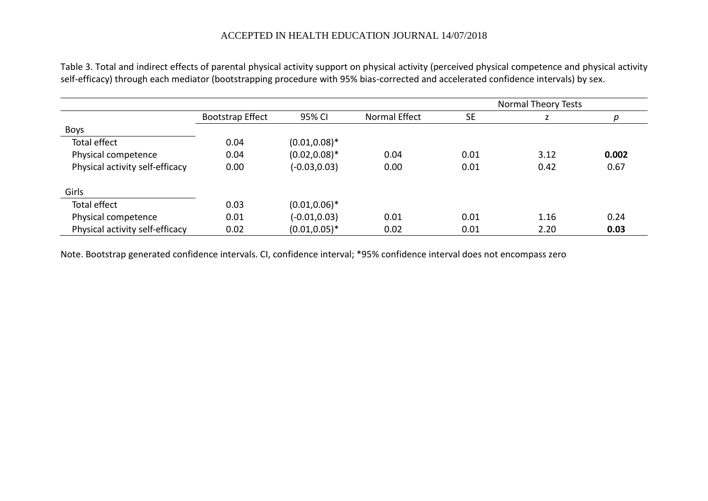Table 3. Total and indirect effects of parental physical activity support on physical activity (perceived physical competence and physical activity self-efficacy) through each mediator (bootstrapping procedure with 95% bias-corrected and accelerated confidence intervals) by sex.

|                                 |                         |                  |               | <b>Normal Theory Tests</b> |      |       |  |
|---------------------------------|-------------------------|------------------|---------------|----------------------------|------|-------|--|
|                                 | <b>Bootstrap Effect</b> | 95% CI           | Normal Effect | <b>SE</b>                  |      |       |  |
| <b>Boys</b>                     |                         |                  |               |                            |      |       |  |
| Total effect                    | 0.04                    | $(0.01, 0.08)^*$ |               |                            |      |       |  |
| Physical competence             | 0.04                    | $(0.02, 0.08)^*$ | 0.04          | 0.01                       | 3.12 | 0.002 |  |
| Physical activity self-efficacy | 0.00                    | $(-0.03, 0.03)$  | 0.00          | 0.01                       | 0.42 | 0.67  |  |
| Girls                           |                         |                  |               |                            |      |       |  |
| Total effect                    | 0.03                    | $(0.01, 0.06)^*$ |               |                            |      |       |  |
| Physical competence             | 0.01                    | $(-0.01, 0.03)$  | 0.01          | 0.01                       | 1.16 | 0.24  |  |
| Physical activity self-efficacy | 0.02                    | $(0.01, 0.05)^*$ | 0.02          | 0.01                       | 2.20 | 0.03  |  |

Note. Bootstrap generated confidence intervals. CI, confidence interval; \*95% confidence interval does not encompass zero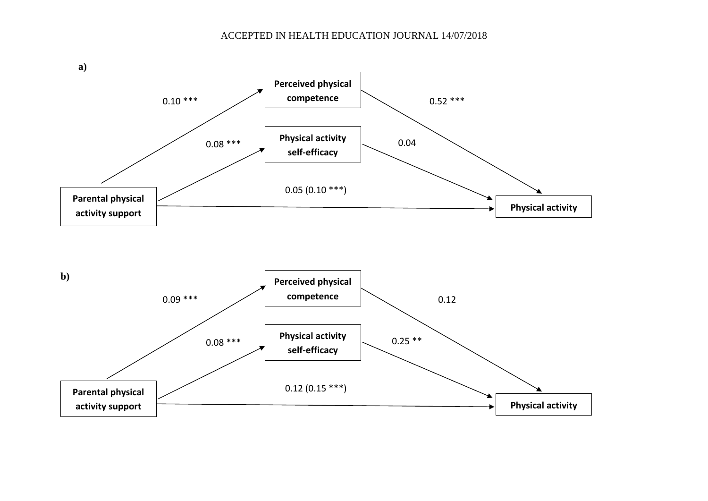